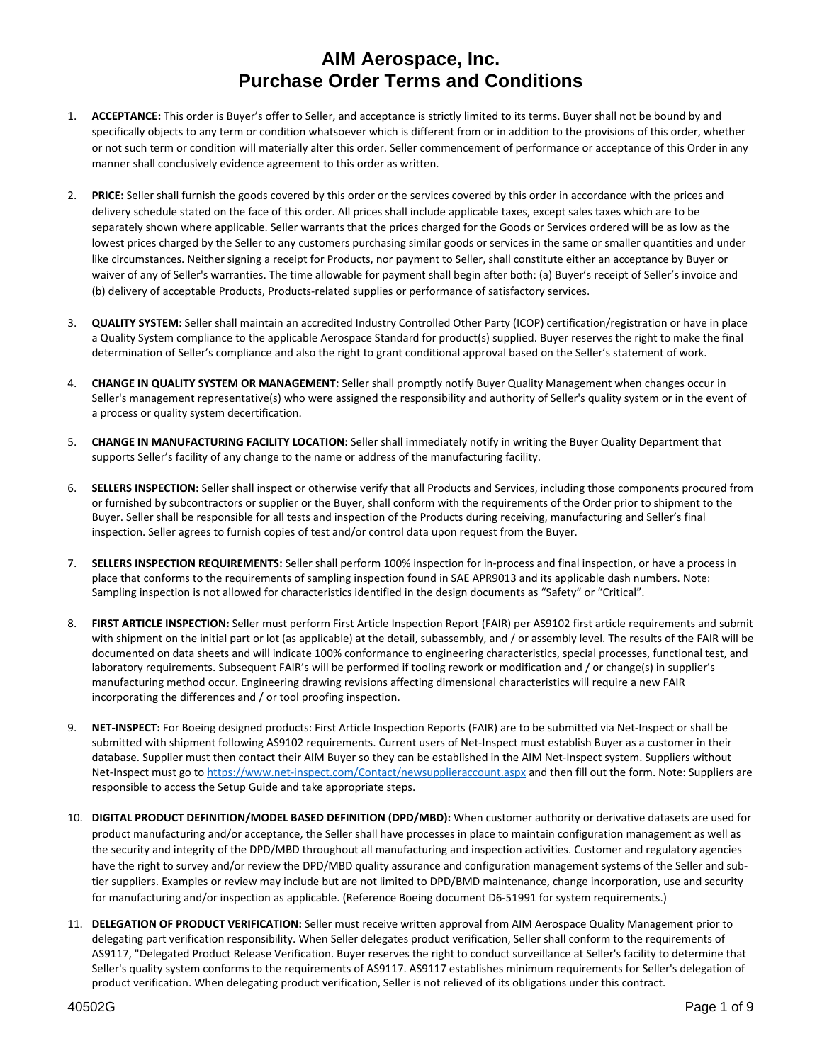- 1. **ACCEPTANCE:** This order is Buyer's offer to Seller, and acceptance is strictly limited to its terms. Buyer shall not be bound by and specifically objects to any term or condition whatsoever which is different from or in addition to the provisions of this order, whether or not such term or condition will materially alter this order. Seller commencement of performance or acceptance of this Order in any manner shall conclusively evidence agreement to this order as written.
- 2. **PRICE:** Seller shall furnish the goods covered by this order or the services covered by this order in accordance with the prices and delivery schedule stated on the face of this order. All prices shall include applicable taxes, except sales taxes which are to be separately shown where applicable. Seller warrants that the prices charged for the Goods or Services ordered will be as low as the lowest prices charged by the Seller to any customers purchasing similar goods or services in the same or smaller quantities and under like circumstances. Neither signing a receipt for Products, nor payment to Seller, shall constitute either an acceptance by Buyer or waiver of any of Seller's warranties. The time allowable for payment shall begin after both: (a) Buyer's receipt of Seller's invoice and (b) delivery of acceptable Products, Products‐related supplies or performance of satisfactory services.
- 3. **QUALITY SYSTEM:** Seller shall maintain an accredited Industry Controlled Other Party (ICOP) certification/registration or have in place a Quality System compliance to the applicable Aerospace Standard for product(s) supplied. Buyer reserves the right to make the final determination of Seller's compliance and also the right to grant conditional approval based on the Seller's statement of work.
- 4. **CHANGE IN QUALITY SYSTEM OR MANAGEMENT:** Seller shall promptly notify Buyer Quality Management when changes occur in Seller's management representative(s) who were assigned the responsibility and authority of Seller's quality system or in the event of a process or quality system decertification.
- 5. **CHANGE IN MANUFACTURING FACILITY LOCATION:** Seller shall immediately notify in writing the Buyer Quality Department that supports Seller's facility of any change to the name or address of the manufacturing facility.
- 6. **SELLERS INSPECTION:** Seller shall inspect or otherwise verify that all Products and Services, including those components procured from or furnished by subcontractors or supplier or the Buyer, shall conform with the requirements of the Order prior to shipment to the Buyer. Seller shall be responsible for all tests and inspection of the Products during receiving, manufacturing and Seller's final inspection. Seller agrees to furnish copies of test and/or control data upon request from the Buyer.
- 7. **SELLERS INSPECTION REQUIREMENTS:** Seller shall perform 100% inspection for in‐process and final inspection, or have a process in place that conforms to the requirements of sampling inspection found in SAE APR9013 and its applicable dash numbers. Note: Sampling inspection is not allowed for characteristics identified in the design documents as "Safety" or "Critical".
- 8. **FIRST ARTICLE INSPECTION:** Seller must perform First Article Inspection Report (FAIR) per AS9102 first article requirements and submit with shipment on the initial part or lot (as applicable) at the detail, subassembly, and / or assembly level. The results of the FAIR will be documented on data sheets and will indicate 100% conformance to engineering characteristics, special processes, functional test, and laboratory requirements. Subsequent FAIR's will be performed if tooling rework or modification and / or change(s) in supplier's manufacturing method occur. Engineering drawing revisions affecting dimensional characteristics will require a new FAIR incorporating the differences and / or tool proofing inspection.
- 9. NET-INSPECT: For Boeing designed products: First Article Inspection Reports (FAIR) are to be submitted via Net-Inspect or shall be submitted with shipment following AS9102 requirements. Current users of Net‐Inspect must establish Buyer as a customer in their database. Supplier must then contact their AIM Buyer so they can be established in the AIM Net‐Inspect system. Suppliers without Net-Inspect must go to https://www.net-inspect.com/Contact/newsupplieraccount.aspx and then fill out the form. Note: Suppliers are responsible to access the Setup Guide and take appropriate steps.
- 10. **DIGITAL PRODUCT DEFINITION/MODEL BASED DEFINITION (DPD/MBD):** When customer authority or derivative datasets are used for product manufacturing and/or acceptance, the Seller shall have processes in place to maintain configuration management as well as the security and integrity of the DPD/MBD throughout all manufacturing and inspection activities. Customer and regulatory agencies have the right to survey and/or review the DPD/MBD quality assurance and configuration management systems of the Seller and subtier suppliers. Examples or review may include but are not limited to DPD/BMD maintenance, change incorporation, use and security for manufacturing and/or inspection as applicable. (Reference Boeing document D6‐51991 for system requirements.)
- 11. **DELEGATION OF PRODUCT VERIFICATION:** Seller must receive written approval from AIM Aerospace Quality Management prior to delegating part verification responsibility. When Seller delegates product verification, Seller shall conform to the requirements of AS9117, "Delegated Product Release Verification. Buyer reserves the right to conduct surveillance at Seller's facility to determine that Seller's quality system conforms to the requirements of AS9117. AS9117 establishes minimum requirements for Seller's delegation of product verification. When delegating product verification, Seller is not relieved of its obligations under this contract.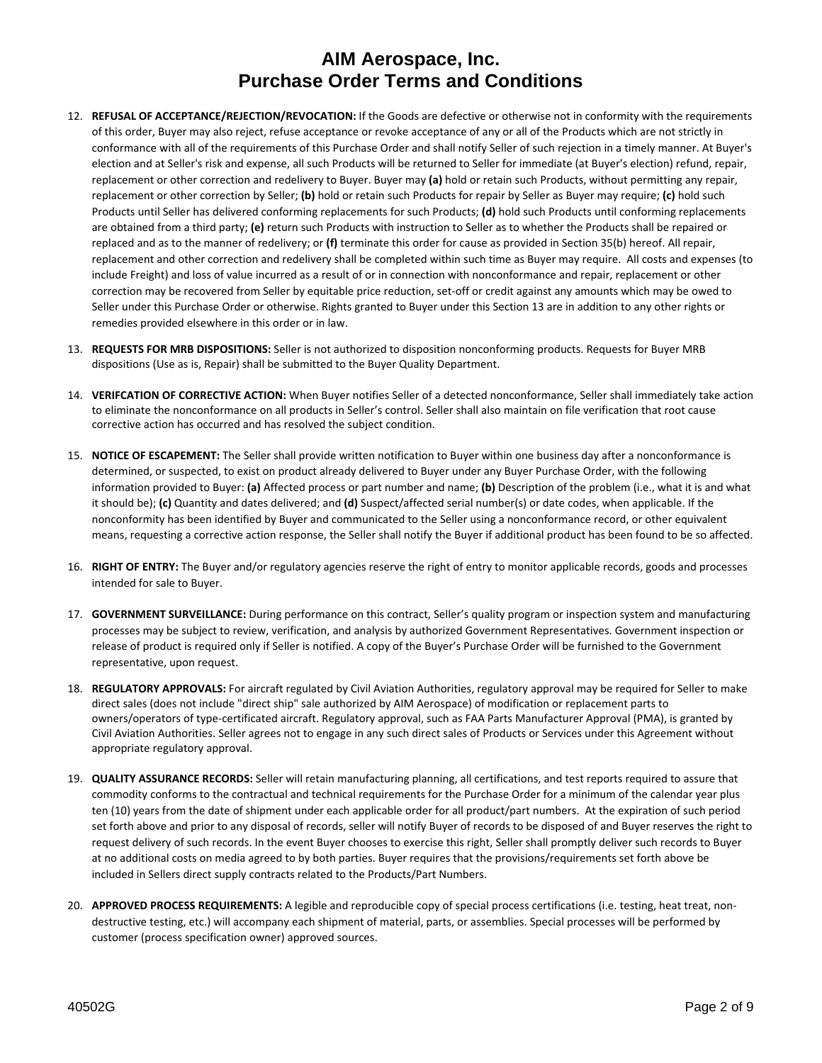- 12. **REFUSAL OF ACCEPTANCE/REJECTION/REVOCATION:** If the Goods are defective or otherwise not in conformity with the requirements of this order, Buyer may also reject, refuse acceptance or revoke acceptance of any or all of the Products which are not strictly in conformance with all of the requirements of this Purchase Order and shall notify Seller of such rejection in a timely manner. At Buyer's election and at Seller's risk and expense, all such Products will be returned to Seller for immediate (at Buyer's election) refund, repair, replacement or other correction and redelivery to Buyer. Buyer may **(a)** hold or retain such Products, without permitting any repair, replacement or other correction by Seller; **(b)** hold or retain such Products for repair by Seller as Buyer may require; **(c)** hold such Products until Seller has delivered conforming replacements for such Products; **(d)** hold such Products until conforming replacements are obtained from a third party; **(e)** return such Products with instruction to Seller as to whether the Products shall be repaired or replaced and as to the manner of redelivery; or **(f)** terminate this order for cause as provided in Section 35(b) hereof. All repair, replacement and other correction and redelivery shall be completed within such time as Buyer may require. All costs and expenses (to include Freight) and loss of value incurred as a result of or in connection with nonconformance and repair, replacement or other correction may be recovered from Seller by equitable price reduction, set‐off or credit against any amounts which may be owed to Seller under this Purchase Order or otherwise. Rights granted to Buyer under this Section 13 are in addition to any other rights or remedies provided elsewhere in this order or in law.
- 13. **REQUESTS FOR MRB DISPOSITIONS:** Seller is not authorized to disposition nonconforming products. Requests for Buyer MRB dispositions (Use as is, Repair) shall be submitted to the Buyer Quality Department.
- 14. **VERIFCATION OF CORRECTIVE ACTION:** When Buyer notifies Seller of a detected nonconformance, Seller shall immediately take action to eliminate the nonconformance on all products in Seller's control. Seller shall also maintain on file verification that root cause corrective action has occurred and has resolved the subject condition.
- 15. **NOTICE OF ESCAPEMENT:** The Seller shall provide written notification to Buyer within one business day after a nonconformance is determined, or suspected, to exist on product already delivered to Buyer under any Buyer Purchase Order, with the following information provided to Buyer: **(a)** Affected process or part number and name; **(b)** Description of the problem (i.e., what it is and what it should be); **(c)** Quantity and dates delivered; and **(d)** Suspect/affected serial number(s) or date codes, when applicable. If the nonconformity has been identified by Buyer and communicated to the Seller using a nonconformance record, or other equivalent means, requesting a corrective action response, the Seller shall notify the Buyer if additional product has been found to be so affected.
- 16. **RIGHT OF ENTRY:** The Buyer and/or regulatory agencies reserve the right of entry to monitor applicable records, goods and processes intended for sale to Buyer.
- 17. **GOVERNMENT SURVEILLANCE:** During performance on this contract, Seller's quality program or inspection system and manufacturing processes may be subject to review, verification, and analysis by authorized Government Representatives. Government inspection or release of product is required only if Seller is notified. A copy of the Buyer's Purchase Order will be furnished to the Government representative, upon request.
- 18. **REGULATORY APPROVALS:** For aircraft regulated by Civil Aviation Authorities, regulatory approval may be required for Seller to make direct sales (does not include "direct ship" sale authorized by AIM Aerospace) of modification or replacement parts to owners/operators of type‐certificated aircraft. Regulatory approval, such as FAA Parts Manufacturer Approval (PMA), is granted by Civil Aviation Authorities. Seller agrees not to engage in any such direct sales of Products or Services under this Agreement without appropriate regulatory approval.
- 19. **QUALITY ASSURANCE RECORDS:** Seller will retain manufacturing planning, all certifications, and test reports required to assure that commodity conforms to the contractual and technical requirements for the Purchase Order for a minimum of the calendar year plus ten (10) years from the date of shipment under each applicable order for all product/part numbers. At the expiration of such period set forth above and prior to any disposal of records, seller will notify Buyer of records to be disposed of and Buyer reserves the right to request delivery of such records. In the event Buyer chooses to exercise this right, Seller shall promptly deliver such records to Buyer at no additional costs on media agreed to by both parties. Buyer requires that the provisions/requirements set forth above be included in Sellers direct supply contracts related to the Products/Part Numbers.
- 20. **APPROVED PROCESS REQUIREMENTS:** A legible and reproducible copy of special process certifications (i.e. testing, heat treat, non‐ destructive testing, etc.) will accompany each shipment of material, parts, or assemblies. Special processes will be performed by customer (process specification owner) approved sources.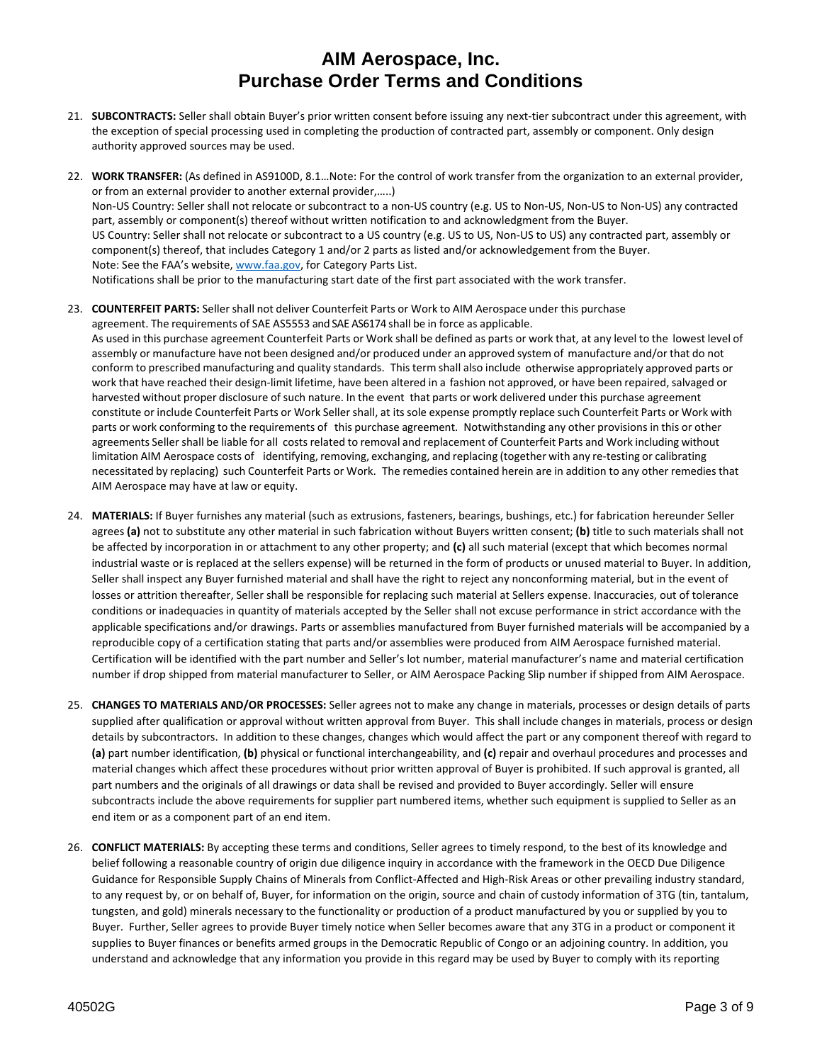- 21. SUBCONTRACTS: Seller shall obtain Buyer's prior written consent before issuing any next-tier subcontract under this agreement, with the exception of special processing used in completing the production of contracted part, assembly or component. Only design authority approved sources may be used.
- 22. **WORK TRANSFER:** (As defined in AS9100D, 8.1…Note: For the control of work transfer from the organization to an external provider, or from an external provider to another external provider,…..) Non‐US Country: Seller shall not relocate or subcontract to a non‐US country (e.g. US to Non‐US, Non‐US to Non‐US) any contracted part, assembly or component(s) thereof without written notification to and acknowledgment from the Buyer. US Country: Seller shall not relocate or subcontract to a US country (e.g. US to US, Non‐US to US) any contracted part, assembly or component(s) thereof, that includes Category 1 and/or 2 parts as listed and/or acknowledgement from the Buyer. Note: See the FAA's website, www.faa.gov, for Category Parts List. Notifications shall be prior to the manufacturing start date of the first part associated with the work transfer.
- 23. **COUNTERFEIT PARTS:** Sellershall not deliver Counterfeit Parts or Work to AIM Aerospace under this purchase agreement. The requirements of SAE AS5553 and SAE AS6174 shall be in force as applicable. As used in this purchase agreement Counterfeit Parts or Work shall be defined as parts or work that, at any level to the lowest level of assembly or manufacture have not been designed and/or produced under an approved system of manufacture and/or that do not conform to prescribed manufacturing and quality standards. Thisterm shall also include otherwise appropriately approved parts or work that have reached their design‐limit lifetime, have been altered in a fashion not approved, or have been repaired, salvaged or harvested without proper disclosure of such nature. In the event that parts or work delivered under this purchase agreement constitute or include Counterfeit Parts or Work Seller shall, at its sole expense promptly replace such Counterfeit Parts or Work with parts or work conforming to the requirements of this purchase agreement. Notwithstanding any other provisions in this or other agreements Seller shall be liable for all costsrelated to removal and replacement of Counterfeit Parts and Work including without limitation AIM Aerospace costs of identifying, removing, exchanging, and replacing (together with any re‐testing or calibrating necessitated by replacing) such Counterfeit Parts or Work. The remedies contained herein are in addition to any other remediesthat AIM Aerospace may have at law or equity.
- 24. **MATERIALS:** If Buyer furnishes any material (such as extrusions, fasteners, bearings, bushings, etc.) for fabrication hereunder Seller agrees **(a)** not to substitute any other material in such fabrication without Buyers written consent; **(b)** title to such materials shall not be affected by incorporation in or attachment to any other property; and **(c)** all such material (except that which becomes normal industrial waste or is replaced at the sellers expense) will be returned in the form of products or unused material to Buyer. In addition, Seller shall inspect any Buyer furnished material and shall have the right to reject any nonconforming material, but in the event of losses or attrition thereafter, Seller shall be responsible for replacing such material at Sellers expense. Inaccuracies, out of tolerance conditions or inadequacies in quantity of materials accepted by the Seller shall not excuse performance in strict accordance with the applicable specifications and/or drawings. Parts or assemblies manufactured from Buyer furnished materials will be accompanied by a reproducible copy of a certification stating that parts and/or assemblies were produced from AIM Aerospace furnished material. Certification will be identified with the part number and Seller's lot number, material manufacturer's name and material certification number if drop shipped from material manufacturer to Seller, or AIM Aerospace Packing Slip number if shipped from AIM Aerospace.
- 25. **CHANGES TO MATERIALS AND/OR PROCESSES:** Seller agrees not to make any change in materials, processes or design details of parts supplied after qualification or approval without written approval from Buyer. This shall include changes in materials, process or design details by subcontractors. In addition to these changes, changes which would affect the part or any component thereof with regard to **(a)** part number identification, **(b)** physical or functional interchangeability, and **(c)** repair and overhaul procedures and processes and material changes which affect these procedures without prior written approval of Buyer is prohibited. If such approval is granted, all part numbers and the originals of all drawings or data shall be revised and provided to Buyer accordingly. Seller will ensure subcontracts include the above requirements for supplier part numbered items, whether such equipment is supplied to Seller as an end item or as a component part of an end item.
- 26. **CONFLICT MATERIALS:** By accepting these terms and conditions, Seller agrees to timely respond, to the best of its knowledge and belief following a reasonable country of origin due diligence inquiry in accordance with the framework in the OECD Due Diligence Guidance for Responsible Supply Chains of Minerals from Conflict‐Affected and High‐Risk Areas or other prevailing industry standard, to any request by, or on behalf of, Buyer, for information on the origin, source and chain of custody information of 3TG (tin, tantalum, tungsten, and gold) minerals necessary to the functionality or production of a product manufactured by you or supplied by you to Buyer. Further, Seller agrees to provide Buyer timely notice when Seller becomes aware that any 3TG in a product or component it supplies to Buyer finances or benefits armed groups in the Democratic Republic of Congo or an adjoining country. In addition, you understand and acknowledge that any information you provide in this regard may be used by Buyer to comply with its reporting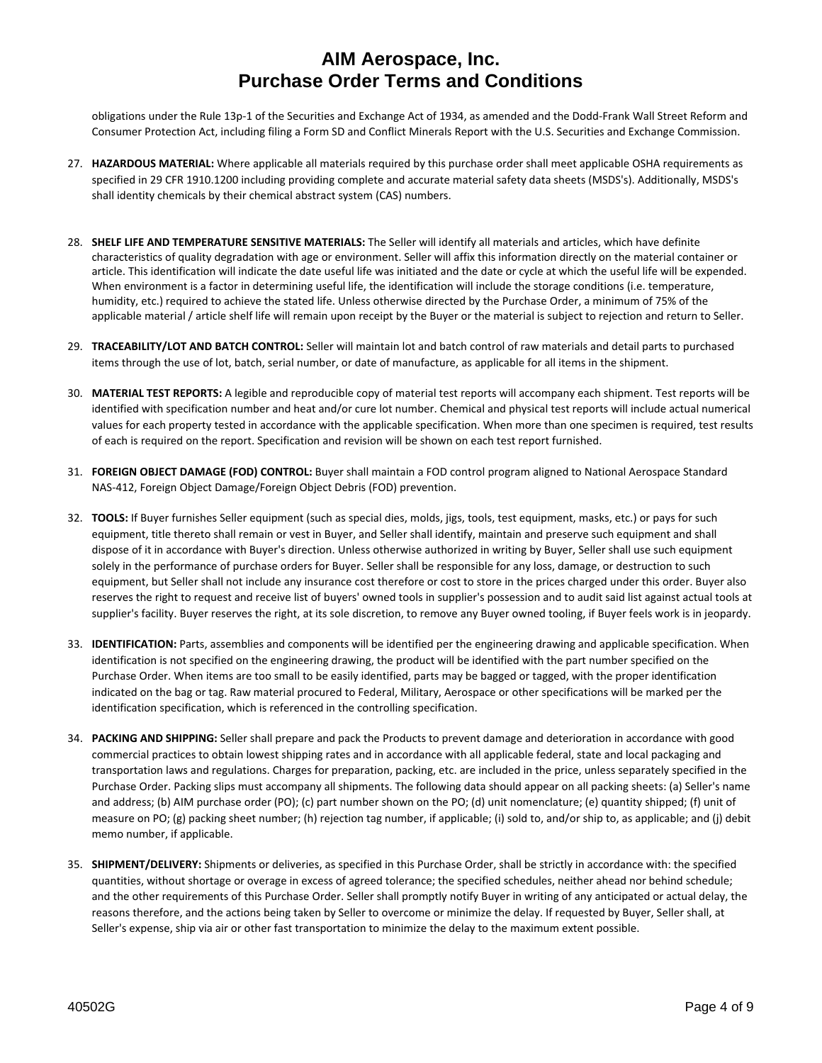obligations under the Rule 13p‐1 of the Securities and Exchange Act of 1934, as amended and the Dodd‐Frank Wall Street Reform and Consumer Protection Act, including filing a Form SD and Conflict Minerals Report with the U.S. Securities and Exchange Commission.

- 27. **HAZARDOUS MATERIAL:** Where applicable all materials required by this purchase order shall meet applicable OSHA requirements as specified in 29 CFR 1910.1200 including providing complete and accurate material safety data sheets (MSDS's). Additionally, MSDS's shall identity chemicals by their chemical abstract system (CAS) numbers.
- 28. **SHELF LIFE AND TEMPERATURE SENSITIVE MATERIALS:** The Seller will identify all materials and articles, which have definite characteristics of quality degradation with age or environment. Seller will affix this information directly on the material container or article. This identification will indicate the date useful life was initiated and the date or cycle at which the useful life will be expended. When environment is a factor in determining useful life, the identification will include the storage conditions (i.e. temperature, humidity, etc.) required to achieve the stated life. Unless otherwise directed by the Purchase Order, a minimum of 75% of the applicable material / article shelf life will remain upon receipt by the Buyer or the material is subject to rejection and return to Seller.
- 29. **TRACEABILITY/LOT AND BATCH CONTROL:** Seller will maintain lot and batch control of raw materials and detail parts to purchased items through the use of lot, batch, serial number, or date of manufacture, as applicable for all items in the shipment.
- 30. **MATERIAL TEST REPORTS:** A legible and reproducible copy of material test reports will accompany each shipment. Test reports will be identified with specification number and heat and/or cure lot number. Chemical and physical test reports will include actual numerical values for each property tested in accordance with the applicable specification. When more than one specimen is required, test results of each is required on the report. Specification and revision will be shown on each test report furnished.
- 31. **FOREIGN OBJECT DAMAGE (FOD) CONTROL:** Buyer shall maintain a FOD control program aligned to National Aerospace Standard NAS‐412, Foreign Object Damage/Foreign Object Debris (FOD) prevention.
- 32. **TOOLS:** If Buyer furnishes Seller equipment (such as special dies, molds, jigs, tools, test equipment, masks, etc.) or pays for such equipment, title thereto shall remain or vest in Buyer, and Seller shall identify, maintain and preserve such equipment and shall dispose of it in accordance with Buyer's direction. Unless otherwise authorized in writing by Buyer, Seller shall use such equipment solely in the performance of purchase orders for Buyer. Seller shall be responsible for any loss, damage, or destruction to such equipment, but Seller shall not include any insurance cost therefore or cost to store in the prices charged under this order. Buyer also reserves the right to request and receive list of buyers' owned tools in supplier's possession and to audit said list against actual tools at supplier's facility. Buyer reserves the right, at its sole discretion, to remove any Buyer owned tooling, if Buyer feels work is in jeopardy.
- 33. **IDENTIFICATION:** Parts, assemblies and components will be identified per the engineering drawing and applicable specification. When identification is not specified on the engineering drawing, the product will be identified with the part number specified on the Purchase Order. When items are too small to be easily identified, parts may be bagged or tagged, with the proper identification indicated on the bag or tag. Raw material procured to Federal, Military, Aerospace or other specifications will be marked per the identification specification, which is referenced in the controlling specification.
- 34. **PACKING AND SHIPPING:** Seller shall prepare and pack the Products to prevent damage and deterioration in accordance with good commercial practices to obtain lowest shipping rates and in accordance with all applicable federal, state and local packaging and transportation laws and regulations. Charges for preparation, packing, etc. are included in the price, unless separately specified in the Purchase Order. Packing slips must accompany all shipments. The following data should appear on all packing sheets: (a) Seller's name and address; (b) AIM purchase order (PO); (c) part number shown on the PO; (d) unit nomenclature; (e) quantity shipped; (f) unit of measure on PO; (g) packing sheet number; (h) rejection tag number, if applicable; (i) sold to, and/or ship to, as applicable; and (j) debit memo number, if applicable.
- 35. **SHIPMENT/DELIVERY:** Shipments or deliveries, as specified in this Purchase Order, shall be strictly in accordance with: the specified quantities, without shortage or overage in excess of agreed tolerance; the specified schedules, neither ahead nor behind schedule; and the other requirements of this Purchase Order. Seller shall promptly notify Buyer in writing of any anticipated or actual delay, the reasons therefore, and the actions being taken by Seller to overcome or minimize the delay. If requested by Buyer, Seller shall, at Seller's expense, ship via air or other fast transportation to minimize the delay to the maximum extent possible.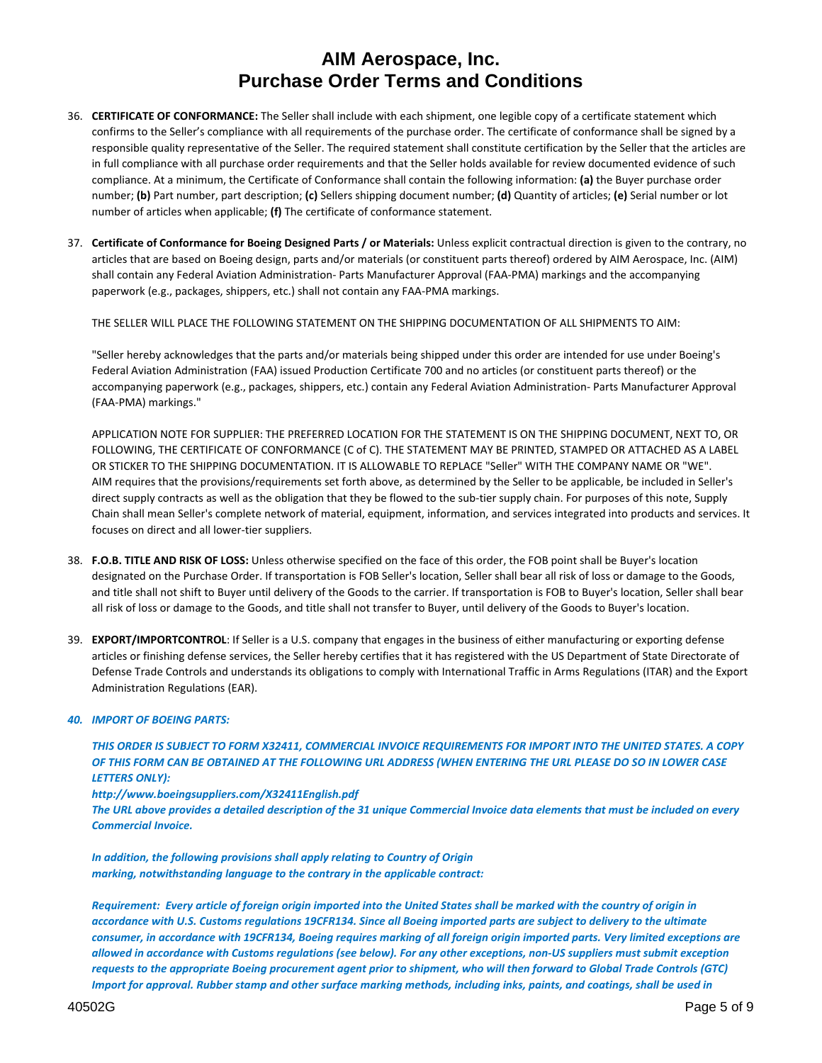- 36. **CERTIFICATE OF CONFORMANCE:** The Seller shall include with each shipment, one legible copy of a certificate statement which confirms to the Seller's compliance with all requirements of the purchase order. The certificate of conformance shall be signed by a responsible quality representative of the Seller. The required statement shall constitute certification by the Seller that the articles are in full compliance with all purchase order requirements and that the Seller holds available for review documented evidence of such compliance. At a minimum, the Certificate of Conformance shall contain the following information: **(a)** the Buyer purchase order number; **(b)** Part number, part description; **(c)** Sellers shipping document number; **(d)** Quantity of articles; **(e)** Serial number or lot number of articles when applicable; **(f)** The certificate of conformance statement.
- 37. **Certificate of Conformance for Boeing Designed Parts / or Materials:** Unless explicit contractual direction is given to the contrary, no articles that are based on Boeing design, parts and/or materials (or constituent parts thereof) ordered by AIM Aerospace, Inc. (AIM) shall contain any Federal Aviation Administration‐ Parts Manufacturer Approval (FAA‐PMA) markings and the accompanying paperwork (e.g., packages, shippers, etc.) shall not contain any FAA‐PMA markings.

THE SELLER WILL PLACE THE FOLLOWING STATEMENT ON THE SHIPPING DOCUMENTATION OF ALL SHIPMENTS TO AIM:

"Seller hereby acknowledges that the parts and/or materials being shipped under this order are intended for use under Boeing's Federal Aviation Administration (FAA) issued Production Certificate 700 and no articles (or constituent parts thereof) or the accompanying paperwork (e.g., packages, shippers, etc.) contain any Federal Aviation Administration‐ Parts Manufacturer Approval (FAA‐PMA) markings."

APPLICATION NOTE FOR SUPPLIER: THE PREFERRED LOCATION FOR THE STATEMENT IS ON THE SHIPPING DOCUMENT, NEXT TO, OR FOLLOWING, THE CERTIFICATE OF CONFORMANCE (C of C). THE STATEMENT MAY BE PRINTED, STAMPED OR ATTACHED AS A LABEL OR STICKER TO THE SHIPPING DOCUMENTATION. IT IS ALLOWABLE TO REPLACE "Seller" WITH THE COMPANY NAME OR "WE". AIM requires that the provisions/requirements set forth above, as determined by the Seller to be applicable, be included in Seller's direct supply contracts as well as the obligation that they be flowed to the sub-tier supply chain. For purposes of this note, Supply Chain shall mean Seller's complete network of material, equipment, information, and services integrated into products and services. It focuses on direct and all lower‐tier suppliers.

- 38. **F.O.B. TITLE AND RISK OF LOSS:** Unless otherwise specified on the face of this order, the FOB point shall be Buyer's location designated on the Purchase Order. If transportation is FOB Seller's location, Seller shall bear all risk of loss or damage to the Goods, and title shall not shift to Buyer until delivery of the Goods to the carrier. If transportation is FOB to Buyer's location, Seller shall bear all risk of loss or damage to the Goods, and title shall not transfer to Buyer, until delivery of the Goods to Buyer's location.
- 39. **EXPORT/IMPORTCONTROL**: If Seller is a U.S. company that engages in the business of either manufacturing or exporting defense articles or finishing defense services, the Seller hereby certifies that it has registered with the US Department of State Directorate of Defense Trade Controls and understands its obligations to comply with International Traffic in Arms Regulations (ITAR) and the Export Administration Regulations (EAR).

#### *40. IMPORT OF BOEING PARTS:*

THIS ORDER IS SUBJECT TO FORM X32411, COMMERCIAL INVOICE REQUIREMENTS FOR IMPORT INTO THE UNITED STATES. A COPY OF THIS FORM CAN BE OBTAINED AT THE FOLLOWING URL ADDRESS (WHEN ENTERING THE URL PLEASE DO SO IN LOWER CASE *LETTERS ONLY):* 

*http://www.boeingsuppliers.com/X32411English.pdf*

The URL above provides a detailed description of the 31 unique Commercial Invoice data elements that must be included on every *Commercial Invoice.*

*In addition, the following provisions shall apply relating to Country of Origin marking, notwithstanding language to the contrary in the applicable contract:* 

Requirement: Every article of foreign origin imported into the United States shall be marked with the country of origin in accordance with U.S. Customs regulations 19CFR134. Since all Boeing imported parts are subject to delivery to the ultimate consumer, in accordance with 19CFR134, Boeing requires marking of all foreign origin imported parts. Very limited exceptions are allowed in accordance with Customs regulations (see below). For any other exceptions, non-US suppliers must submit exception requests to the appropriate Boeing procurement agent prior to shipment, who will then forward to Global Trade Controls (GTC) Import for approval. Rubber stamp and other surface marking methods, including inks, paints, and coatings, shall be used in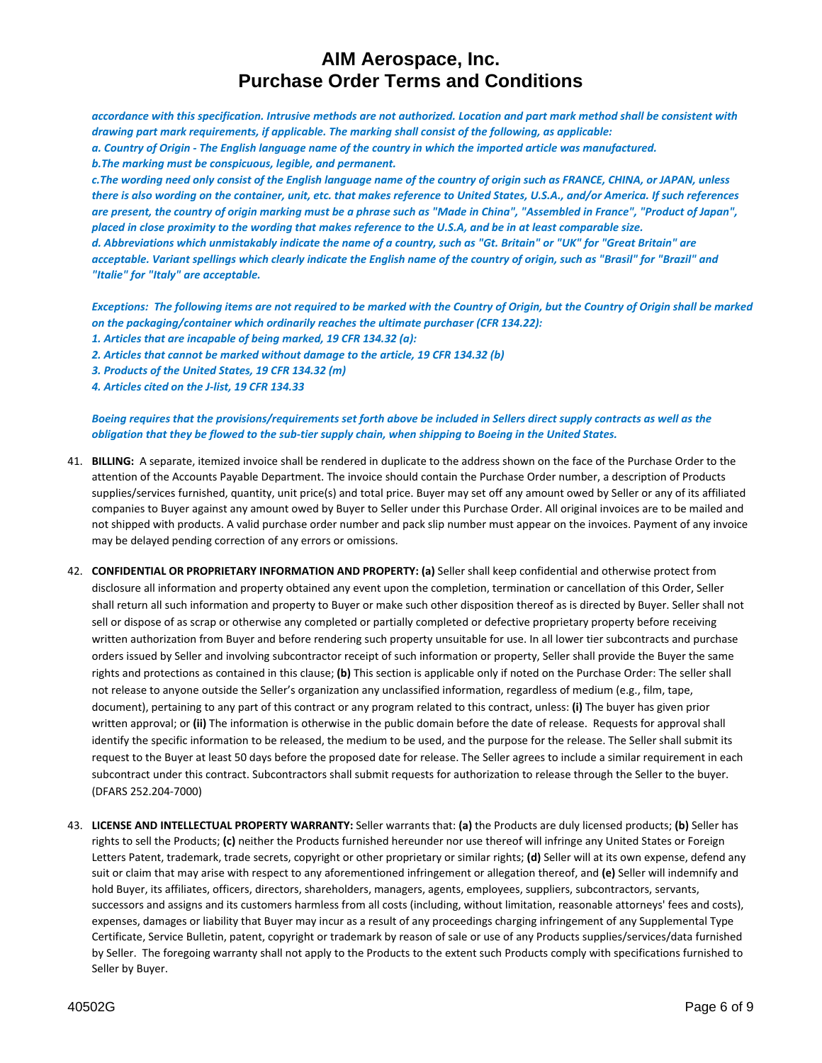accordance with this specification. Intrusive methods are not authorized. Location and part mark method shall be consistent with *drawing part mark requirements, if applicable. The marking shall consist of the following, as applicable:* a. Country of Origin - The English language name of the country in which the imported article was manufactured. *b.The marking must be conspicuous, legible, and permanent.*

c. The wording need only consist of the English language name of the country of origin such as FRANCE, CHINA, or JAPAN, unless there is also wording on the container, unit, etc. that makes reference to United States, U.S.A., and/or America. If such references are present, the country of origin marking must be a phrase such as "Made in China", "Assembled in France", "Product of Japan", placed in close proximity to the wording that makes reference to the U.S.A, and be in at least comparable size. d. Abbreviations which unmistakably indicate the name of a country, such as "Gt. Britain" or "UK" for "Great Britain" are acceptable. Variant spellings which clearly indicate the English name of the country of origin, such as "Brasil" for "Brazil" and *"Italie" for "Italy" are acceptable.*

Exceptions: The following items are not required to be marked with the Country of Origin, but the Country of Origin shall be marked *on the packaging/container which ordinarily reaches the ultimate purchaser (CFR 134.22):*

*1. Articles that are incapable of being marked, 19 CFR 134.32 (a):*

*2. Articles that cannot be marked without damage to the article, 19 CFR 134.32 (b)*

*3. Products of the United States, 19 CFR 134.32 (m)*

*4. Articles cited on the J‐list, 19 CFR 134.33*

#### Boeing requires that the provisions/requirements set forth above be included in Sellers direct supply contracts as well as the obligation that they be flowed to the sub-tier supply chain, when shipping to Boeing in the United States.

- 41. **BILLING:** A separate, itemized invoice shall be rendered in duplicate to the address shown on the face of the Purchase Order to the attention of the Accounts Payable Department. The invoice should contain the Purchase Order number, a description of Products supplies/services furnished, quantity, unit price(s) and total price. Buyer may set off any amount owed by Seller or any of its affiliated companies to Buyer against any amount owed by Buyer to Seller under this Purchase Order. All original invoices are to be mailed and not shipped with products. A valid purchase order number and pack slip number must appear on the invoices. Payment of any invoice may be delayed pending correction of any errors or omissions.
- 42. **CONFIDENTIAL OR PROPRIETARY INFORMATION AND PROPERTY: (a)** Seller shall keep confidential and otherwise protect from disclosure all information and property obtained any event upon the completion, termination or cancellation of this Order, Seller shall return all such information and property to Buyer or make such other disposition thereof as is directed by Buyer. Seller shall not sell or dispose of as scrap or otherwise any completed or partially completed or defective proprietary property before receiving written authorization from Buyer and before rendering such property unsuitable for use. In all lower tier subcontracts and purchase orders issued by Seller and involving subcontractor receipt of such information or property, Seller shall provide the Buyer the same rights and protections as contained in this clause; **(b)** This section is applicable only if noted on the Purchase Order: The seller shall not release to anyone outside the Seller's organization any unclassified information, regardless of medium (e.g., film, tape, document), pertaining to any part of this contract or any program related to this contract, unless: **(i)** The buyer has given prior written approval; or **(ii)** The information is otherwise in the public domain before the date of release. Requests for approval shall identify the specific information to be released, the medium to be used, and the purpose for the release. The Seller shall submit its request to the Buyer at least 50 days before the proposed date for release. The Seller agrees to include a similar requirement in each subcontract under this contract. Subcontractors shall submit requests for authorization to release through the Seller to the buyer. (DFARS 252.204‐7000)
- 43. **LICENSE AND INTELLECTUAL PROPERTY WARRANTY:** Seller warrants that: **(a)** the Products are duly licensed products; **(b)** Seller has rights to sell the Products; **(c)** neither the Products furnished hereunder nor use thereof will infringe any United States or Foreign Letters Patent, trademark, trade secrets, copyright or other proprietary or similar rights; **(d)** Seller will at its own expense, defend any suit or claim that may arise with respect to any aforementioned infringement or allegation thereof, and **(e)** Seller will indemnify and hold Buyer, its affiliates, officers, directors, shareholders, managers, agents, employees, suppliers, subcontractors, servants, successors and assigns and its customers harmless from all costs (including, without limitation, reasonable attorneys' fees and costs), expenses, damages or liability that Buyer may incur as a result of any proceedings charging infringement of any Supplemental Type Certificate, Service Bulletin, patent, copyright or trademark by reason of sale or use of any Products supplies/services/data furnished by Seller. The foregoing warranty shall not apply to the Products to the extent such Products comply with specifications furnished to Seller by Buyer.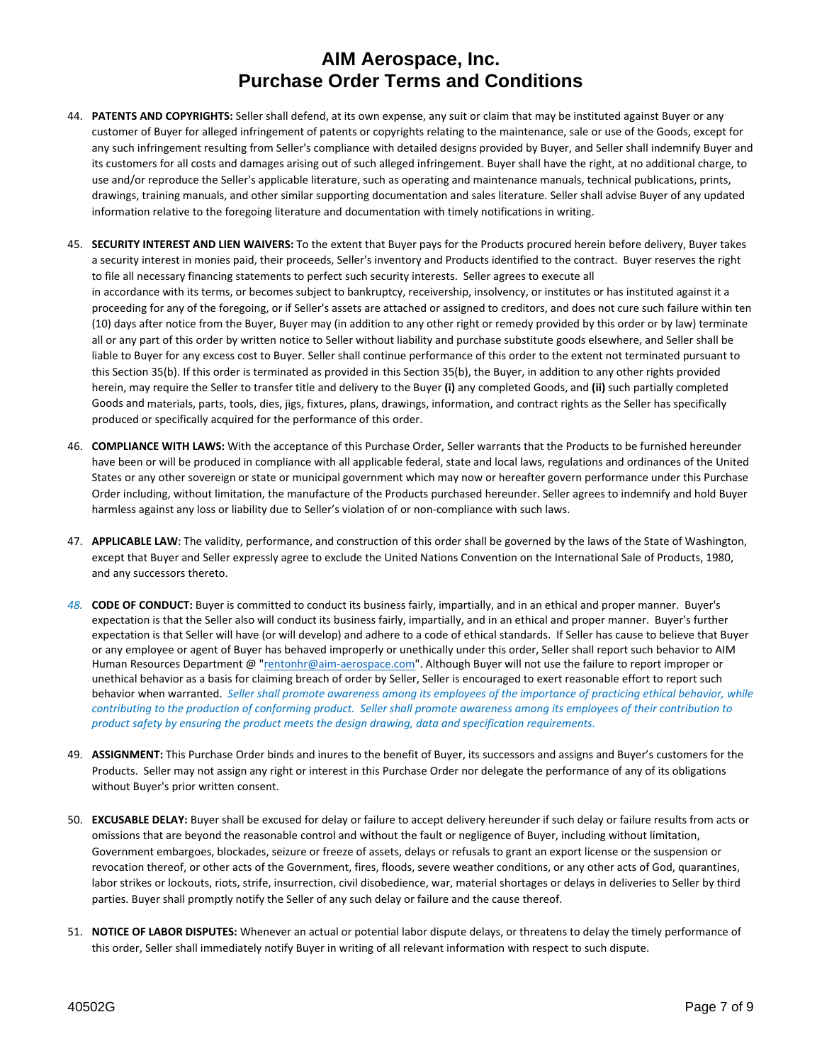- 44. **PATENTS AND COPYRIGHTS:** Seller shall defend, at its own expense, any suit or claim that may be instituted against Buyer or any customer of Buyer for alleged infringement of patents or copyrights relating to the maintenance, sale or use of the Goods, except for any such infringement resulting from Seller's compliance with detailed designs provided by Buyer, and Seller shall indemnify Buyer and its customers for all costs and damages arising out of such alleged infringement. Buyer shall have the right, at no additional charge, to use and/or reproduce the Seller's applicable literature, such as operating and maintenance manuals, technical publications, prints, drawings, training manuals, and other similar supporting documentation and sales literature. Seller shall advise Buyer of any updated information relative to the foregoing literature and documentation with timely notifications in writing.
- 45. **SECURITY INTEREST AND LIEN WAIVERS:** To the extent that Buyer pays for the Products procured herein before delivery, Buyer takes a security interest in monies paid, their proceeds, Seller's inventory and Products identified to the contract. Buyer reserves the right to file all necessary financing statements to perfect such security interests. Seller agrees to execute all in accordance with its terms, or becomes subject to bankruptcy, receivership, insolvency, or institutes or has instituted against it a proceeding for any of the foregoing, or if Seller's assets are attached or assigned to creditors, and does not cure such failure within ten (10) days after notice from the Buyer, Buyer may (in addition to any other right or remedy provided by this order or by law) terminate all or any part of this order by written notice to Seller without liability and purchase substitute goods elsewhere, and Seller shall be liable to Buyer for any excess cost to Buyer. Seller shall continue performance of this order to the extent not terminated pursuant to this Section 35(b). If this order is terminated as provided in this Section 35(b), the Buyer, in addition to any other rights provided herein, may require the Seller to transfer title and delivery to the Buyer **(i)** any completed Goods, and **(ii)** such partially completed Goods and materials, parts, tools, dies, jigs, fixtures, plans, drawings, information, and contract rights as the Seller has specifically produced or specifically acquired for the performance of this order.
- 46. **COMPLIANCE WITH LAWS:** With the acceptance of this Purchase Order, Seller warrants that the Products to be furnished hereunder have been or will be produced in compliance with all applicable federal, state and local laws, regulations and ordinances of the United States or any other sovereign or state or municipal government which may now or hereafter govern performance under this Purchase Order including, without limitation, the manufacture of the Products purchased hereunder. Seller agrees to indemnify and hold Buyer harmless against any loss or liability due to Seller's violation of or non-compliance with such laws.
- 47. **APPLICABLE LAW**: The validity, performance, and construction of this order shall be governed by the laws of the State of Washington, except that Buyer and Seller expressly agree to exclude the United Nations Convention on the International Sale of Products, 1980, and any successors thereto.
- *48.* **CODE OF CONDUCT:** Buyer is committed to conduct its business fairly, impartially, and in an ethical and proper manner. Buyer's expectation is that the Seller also will conduct its business fairly, impartially, and in an ethical and proper manner. Buyer's further expectation is that Seller will have (or will develop) and adhere to a code of ethical standards. If Seller has cause to believe that Buyer or any employee or agent of Buyer has behaved improperly or unethically under this order, Seller shall report such behavior to AIM Human Resources Department @ "rentonhr@aim-aerospace.com". Although Buyer will not use the failure to report improper or unethical behavior as a basis for claiming breach of order by Seller, Seller is encouraged to exert reasonable effort to report such behavior when warranted. Seller shall promote awareness among its employees of the importance of practicing ethical behavior, while contributing to the production of conforming product. Seller shall promote awareness among its employees of their contribution to *product safety by ensuring the product meets the design drawing, data and specification requirements.*
- 49. **ASSIGNMENT:** This Purchase Order binds and inures to the benefit of Buyer, its successors and assigns and Buyer's customers for the Products. Seller may not assign any right or interest in this Purchase Order nor delegate the performance of any of its obligations without Buyer's prior written consent.
- 50. **EXCUSABLE DELAY:** Buyer shall be excused for delay or failure to accept delivery hereunder if such delay or failure results from acts or omissions that are beyond the reasonable control and without the fault or negligence of Buyer, including without limitation, Government embargoes, blockades, seizure or freeze of assets, delays or refusals to grant an export license or the suspension or revocation thereof, or other acts of the Government, fires, floods, severe weather conditions, or any other acts of God, quarantines, labor strikes or lockouts, riots, strife, insurrection, civil disobedience, war, material shortages or delays in deliveries to Seller by third parties. Buyer shall promptly notify the Seller of any such delay or failure and the cause thereof.
- 51. **NOTICE OF LABOR DISPUTES:** Whenever an actual or potential labor dispute delays, or threatens to delay the timely performance of this order, Seller shall immediately notify Buyer in writing of all relevant information with respect to such dispute.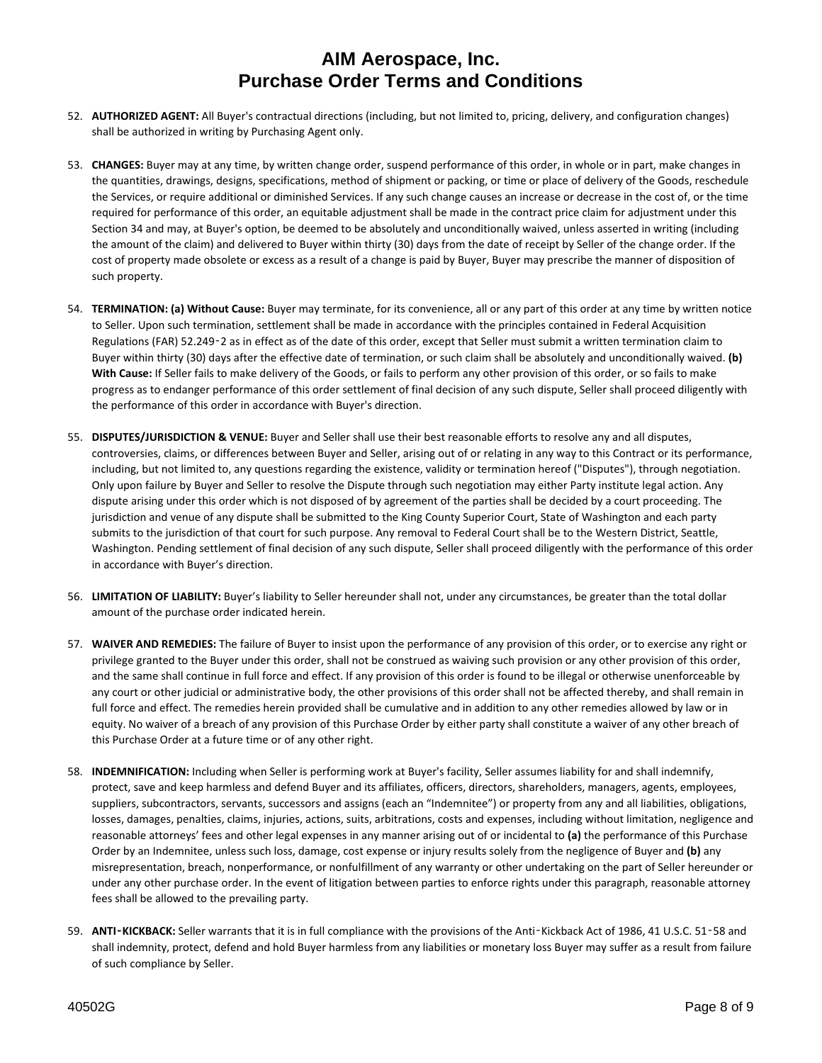- 52. **AUTHORIZED AGENT:** All Buyer's contractual directions (including, but not limited to, pricing, delivery, and configuration changes) shall be authorized in writing by Purchasing Agent only.
- 53. **CHANGES:** Buyer may at any time, by written change order, suspend performance of this order, in whole or in part, make changes in the quantities, drawings, designs, specifications, method of shipment or packing, or time or place of delivery of the Goods, reschedule the Services, or require additional or diminished Services. If any such change causes an increase or decrease in the cost of, or the time required for performance of this order, an equitable adjustment shall be made in the contract price claim for adjustment under this Section 34 and may, at Buyer's option, be deemed to be absolutely and unconditionally waived, unless asserted in writing (including the amount of the claim) and delivered to Buyer within thirty (30) days from the date of receipt by Seller of the change order. If the cost of property made obsolete or excess as a result of a change is paid by Buyer, Buyer may prescribe the manner of disposition of such property.
- 54. **TERMINATION: (a) Without Cause:** Buyer may terminate, for its convenience, all or any part of this order at any time by written notice to Seller. Upon such termination, settlement shall be made in accordance with the principles contained in Federal Acquisition Regulations (FAR) 52.249‑2 as in effect as of the date of this order, except that Seller must submit a written termination claim to Buyer within thirty (30) days after the effective date of termination, or such claim shall be absolutely and unconditionally waived. **(b) With Cause:** If Seller fails to make delivery of the Goods, or fails to perform any other provision of this order, or so fails to make progress as to endanger performance of this order settlement of final decision of any such dispute, Seller shall proceed diligently with the performance of this order in accordance with Buyer's direction.
- 55. **DISPUTES/JURISDICTION & VENUE:** Buyer and Seller shall use their best reasonable efforts to resolve any and all disputes, controversies, claims, or differences between Buyer and Seller, arising out of or relating in any way to this Contract or its performance, including, but not limited to, any questions regarding the existence, validity or termination hereof ("Disputes"), through negotiation. Only upon failure by Buyer and Seller to resolve the Dispute through such negotiation may either Party institute legal action. Any dispute arising under this order which is not disposed of by agreement of the parties shall be decided by a court proceeding. The jurisdiction and venue of any dispute shall be submitted to the King County Superior Court, State of Washington and each party submits to the jurisdiction of that court for such purpose. Any removal to Federal Court shall be to the Western District, Seattle, Washington. Pending settlement of final decision of any such dispute, Seller shall proceed diligently with the performance of this order in accordance with Buyer's direction.
- 56. **LIMITATION OF LIABILITY:** Buyer's liability to Seller hereunder shall not, under any circumstances, be greater than the total dollar amount of the purchase order indicated herein.
- 57. **WAIVER AND REMEDIES:** The failure of Buyer to insist upon the performance of any provision of this order, or to exercise any right or privilege granted to the Buyer under this order, shall not be construed as waiving such provision or any other provision of this order, and the same shall continue in full force and effect. If any provision of this order is found to be illegal or otherwise unenforceable by any court or other judicial or administrative body, the other provisions of this order shall not be affected thereby, and shall remain in full force and effect. The remedies herein provided shall be cumulative and in addition to any other remedies allowed by law or in equity. No waiver of a breach of any provision of this Purchase Order by either party shall constitute a waiver of any other breach of this Purchase Order at a future time or of any other right.
- 58. **INDEMNIFICATION:** Including when Seller is performing work at Buyer's facility, Seller assumes liability for and shall indemnify, protect, save and keep harmless and defend Buyer and its affiliates, officers, directors, shareholders, managers, agents, employees, suppliers, subcontractors, servants, successors and assigns (each an "Indemnitee") or property from any and all liabilities, obligations, losses, damages, penalties, claims, injuries, actions, suits, arbitrations, costs and expenses, including without limitation, negligence and reasonable attorneys' fees and other legal expenses in any manner arising out of or incidental to **(a)** the performance of this Purchase Order by an Indemnitee, unless such loss, damage, cost expense or injury results solely from the negligence of Buyer and **(b)** any misrepresentation, breach, nonperformance, or nonfulfillment of any warranty or other undertaking on the part of Seller hereunder or under any other purchase order. In the event of litigation between parties to enforce rights under this paragraph, reasonable attorney fees shall be allowed to the prevailing party.
- 59. **ANTI**‑**KICKBACK:** Seller warrants that it is in full compliance with the provisions of the Anti‑Kickback Act of 1986, 41 U.S.C. 51‑58 and shall indemnity, protect, defend and hold Buyer harmless from any liabilities or monetary loss Buyer may suffer as a result from failure of such compliance by Seller.